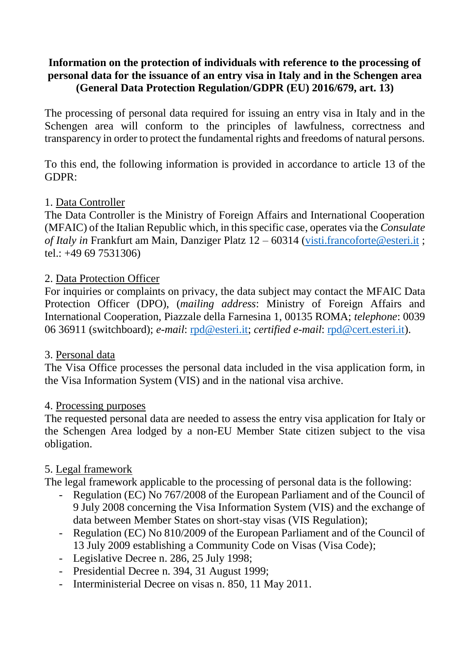## **Information on the protection of individuals with reference to the processing of personal data for the issuance of an entry visa in Italy and in the Schengen area (General Data Protection Regulation/GDPR (EU) 2016/679, art. 13)**

The processing of personal data required for issuing an entry visa in Italy and in the Schengen area will conform to the principles of lawfulness, correctness and transparency in order to protect the fundamental rights and freedoms of natural persons.

To this end, the following information is provided in accordance to article 13 of the GDPR:

## 1. Data Controller

The Data Controller is the Ministry of Foreign Affairs and International Cooperation (MFAIC) of the Italian Republic which, in this specific case, operates via the *Consulate of Italy in* Frankfurt am Main, Danziger Platz 12 – 60314 [\(visti.francoforte@esteri.it](mailto:visti.francoforte@esteri.it) ; tel.: +49 69 7531306)

## 2. Data Protection Officer

For inquiries or complaints on privacy, the data subject may contact the MFAIC Data Protection Officer (DPO), (*mailing address*: Ministry of Foreign Affairs and International Cooperation, Piazzale della Farnesina 1, 00135 ROMA; *telephone*: 0039 06 36911 (switchboard); *e-mail*: [rpd@esteri.it;](mailto:rpd@esteri.it) *certified e-mail*: [rpd@cert.esteri.it\)](mailto:rpd@cert.esteri.it).

### 3. Personal data

The Visa Office processes the personal data included in the visa application form, in the Visa Information System (VIS) and in the national visa archive.

### 4. Processing purposes

The requested personal data are needed to assess the entry visa application for Italy or the Schengen Area lodged by a non-EU Member State citizen subject to the visa obligation.

# 5. Legal framework

The legal framework applicable to the processing of personal data is the following:

- Regulation (EC) No 767/2008 of the European Parliament and of the Council of 9 July 2008 concerning the Visa Information System (VIS) and the exchange of data between Member States on short-stay visas (VIS Regulation);
- Regulation (EC) No 810/2009 of the European Parliament and of the Council of 13 July 2009 establishing a Community Code on Visas (Visa Code);
- Legislative Decree n. 286, 25 July 1998;
- Presidential Decree n. 394, 31 August 1999;
- Interministerial Decree on visas n. 850, 11 May 2011.